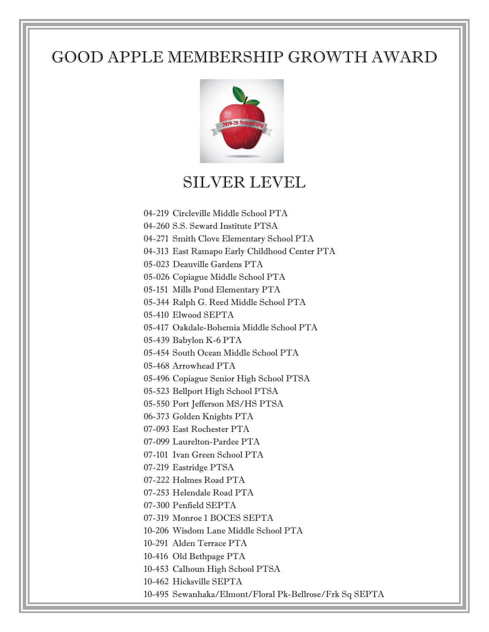## GOOD APPLE MEMBERSHIP GROWTH AWARD



## SILVER LEVEL

- 04-219 Circleville Middle School PTA
- 04-260 S.S. Seward Institute PTSA
- 04-271 Smith Clove Elementary School PTA
- 04-313 East Ramapo Early Childhood Center PTA
- 05-023 Deauville Gardens PTA
- 05-026 Copiague Middle School PTA
- 05-151 Mills Pond Elementary PTA
- 05-344 Ralph G. Reed Middle School PTA
- 05-410 Elwood SEPTA
- 05-417 Oakdale-Bohemia Middle School PTA
- 05-439 Babylon K-6 PTA
- 05-454 South Ocean Middle School PTA
- 05-468 Arrowhead PTA
- 05-496 Copiague Senior High School PTSA
- 05-523 Bellport High School PTSA
- 05-550 Port Jefferson MS/HS PTSA
- 06-373 Golden Knights PTA
- 07-093 East Rochester PTA
- 07-099 Laurelton-Pardee PTA
- 07-101 Ivan Green School PTA
- 07-219 Eastridge PTSA
- 07-222 Holmes Road PTA
- 07-253 Helendale Road PTA
- 07-300 Penfield SEPTA
- 07-319 Monroe 1 BOCES SEPTA
- 10-206 Wisdom Lane Middle School PTA
- 10-291 Alden Terrace PTA
- 10-416 Old Bethpage PTA
- 10-453 Calhoun High School PTSA
- 10-462 Hicksville SEPTA
- 10-495 Sewanhaka/Elmont/Floral Pk-Bellrose/Frk Sq SEPTA